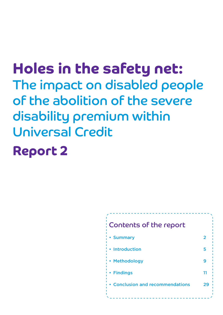Holes in the safety net: The impact on disabled people of the abolition of the severe disability premium within Universal Credit

# Report 2

### Contents of the report

| • Summary                        |    |
|----------------------------------|----|
| • Introduction                   | 5  |
| • Methodology                    | q  |
| • Findings                       | 11 |
| • Conclusion and recommendations | 29 |
|                                  |    |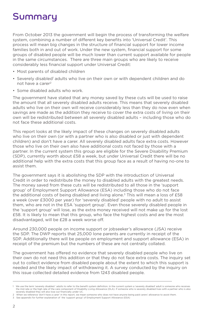### Summary

From October 2013 the government will begin the process of transforming the welfare system, combining a number of different key benefits into 'Universal Credit'. This process will mean big changes in the structure of financial support for lower income families both in and out of work. Under the new system, financial support for some groups of disabled people will be much lower than current support available for people in the same circumstances. There are three main groups who are likely to receive considerably less financial support under Universal Credit:

- Most parents of disabled children
- Severely disabled<sup>1</sup> adults who live on their own or with dependent children and do not have a carer<sup>2</sup>
- Some disabled adults who work.

The government have stated that any money saved by these cuts will be used to raise the amount that all severely disabled adults receive. This means that severely disabled adults who live on their own will receive considerably less than they do now even when savings are made as the addition they receive to cover the extra costs of living on their own will be redistributed between all severely disabled adults – including those who do not face these additional costs.

This report looks at the likely impact of these changes on severely disabled adults who live on their own (or with a partner who is also disabled or just with dependent children) and don't have a carer. All severely disabled adults face extra costs. However those who live on their own also have additional costs not faced by those with a partner. In the current system this group are eligible for the Severe Disability Premium (SDP), currently worth about £58 a week, but under Universal Credit there will be no additional help with the extra costs that this group face as a result of having no-one to assist them.

The government says it is abolishing the SDP with the introduction of Universal Credit in order to redistribute the money to disabled adults with the greatest needs. The money saved from these cuts will be redistributed to all those in the 'support group' of Employment Support Allowance (ESA) including those who do not face the additional costs of being disabled and living alone.<sup>3</sup> This will mean a loss of  $E58$ a week (over £3000 per year) for 'severely disabled' people with no adult to assist them, who are not in the ESA 'support group'. Even those severely disabled people in the 'support group' will lose, as the extra money received will not make up for the lost £58. It is likely to mean that this group, who face the highest costs and are the most disadvantaged, will be £28 a week worse off.

Around 230,000 people on income support or jobseeker's allowance (JSA) receive the SDP. The DWP reports that 25,000 lone parents are currently in receipt of the SDP. Additionally there will be people on employment and support allowance (ESA) in receipt of the premium but the numbers of these are not centrally collated.

The government has offered no evidence that severely disabled people who live on their own do not need this addition or that they do not face extra costs. The inquiry set out to collect evidence from disabled people about the extent to which this support is needed and the likely impact of withdrawing it. A survey conducted by the inquiry on this issue collected detailed evidence from 1243 disabled people.

- 2 When we reference 'don't have a carer' in this report, we mean someone who does not have anyone being paid carers' allowance to assist them.
- 3 See appendix for further explanation of the 'support group' of Employment Support Allowance (ESA)

We use the term 'severely disabled ' adults to refer to the benefit system definition. In the current system a 'severely disabled' adult is someone who receives<br>the mid rate or the high rate of the care component of Disabi severely disabled they will also lose out financially under UC.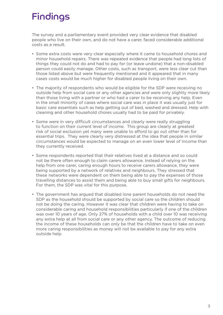### Findings

The survey and a parliamentary event provided very clear evidence that disabled people who live on their own, and do not have a carer, faced considerable additional costs as a result.

- Some extra costs were very clear especially where it came to household chores and minor household repairs. There was repeated evidence that people had long lists of things they could not do and had to pay for (or leave undone) that a non-disabled person could easily manage. Other costs, such as transport, were less clear cut than those listed above but were frequently mentioned and it appeared that in many cases costs would be much higher for disabled people living on their own.
- The majority of respondents who would be eligible for the SDP were receiving no outside help from social care or any other agencies and were only slightly more likely than those living with a partner or who had a carer to be receiving any help. Even in the small minority of cases where social care was in place it was usually just for basic care essentials such as help getting out of bed, washed and dressed. Help with cleaning and other household chores usually had to be paid for privately.
- Some were in very difficult circumstances and clearly were really struggling to function on their current level of income. This group are clearly at greatest risk of social exclusion yet many were unable to afford to go out other than for essential trips. They were clearly very distressed at the idea that people in similar circumstances would be expected to manage on an even lower level of income than they currently received.
- Some respondents reported that their relatives lived at a distance and so could not be there often enough to claim carers allowance. Instead of relying on the help from one carer, caring enough hours to receive carers allowance, they were being supported by a network of relatives and neighbours. They stressed that these networks were dependent on them being able to pay the expenses of those travelling distances to assist them and being able to buy small gifts for neighbours. For them, the SDP was vital for this purpose.
- The government has argued that disabled lone parent households do not need the SDP as the household should be supported by social care so the children should not be doing the caring. However it was clear that children were having to take on considerable caring and household responsibilities particularly if one of the children was over 10 years of age. Only 27% of households with a child over 10 was receiving any extra help at all from social care or any other agency. The outcome of reducing the income of these households can only be that the children have to take on even more caring responsibilities as money will not be available to pay for any extra outside help.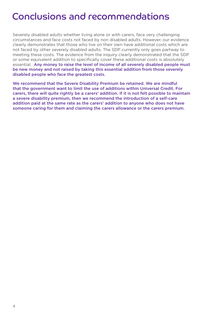### Conclusions and recommendations

Severely disabled adults whether living alone or with carers, face very challenging circumstances and face costs not faced by non disabled adults. However, our evidence clearly demonstrates that those who live on their own have additional costs which are not faced by other severely disabled adults. The SDP currently only goes partway to meeting these costs. The evidence from the inquiry clearly demonstrated that the SDP or some equivalent addition to specifically cover these additional costs is absolutely essential. Any money to raise the level of income of all severely disabled people must be new money and not raised by taking this essential addition from those severely disabled people who face the greatest costs.

We recommend that the Severe Disability Premium be retained. We are mindful that the government want to limit the use of additions within Universal Credit. For carers, there will quite rightly be a carers' addition. If it is not felt possible to maintain a severe disability premium, then we recommend the introduction of a self-care addition paid at the same rate as the carers' addition to anyone who does not have someone caring for them and claiming the carers allowance or the carers premium.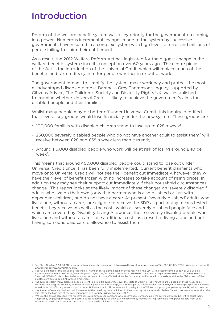### Introduction

Reform of the welfare benefit system was a key priority for the government on coming into power. Numerous incremental changes made to the system by successive governments have resulted in a complex system with high levels of error and millions of people failing to claim their entitlement.

As a result, the 2012 Welfare Reform Act has legislated for the biggest change in the welfare benefits system since its conception over 60 years ago. The centre piece of the Act is the introduction of the Universal Credit which will replace much of the benefits and tax credits system for people whether in or out of work.

The government intends to simplify the system, make work pay and protect the most disadvantaged disabled people. Baroness Grey-Thompson's inquiry, supported by Citizens Advice, The Children's Society and Disability Rights UK, was established to examine whether Universal Credit is likely to achieve the government's aims for disabled people and their families.

Whilst many people may be better off under Universal Credit, this inquiry identified that several key groups would lose financially under the new system. These groups are:

- 100,000 families with disabled children stand to lose up to £28 a week<sup>1</sup>.
- 230,000 severely disabled people who do not have another adult to assist them<sup>2</sup> will receive between £28 and £58 a week less than currently.
- Around 116,000 disabled people who work will be at risk of losing around £40 per week3.

This means that around 450,000 disabled people could stand to lose out under Universal Credit once it has been fully implemented. Current benefit claimants who move onto Universal Credit will not see their benefit cut immediately, however they will have their level of benefit frozen with no increases to take account of rising prices. In addition they may see their support cut immediately if their household circumstances change. This report looks at the likely impact of these changes on 'severely disabled'4 adults who live on their own (or with a partner who is also disabled or just with dependent children) and do not have a carer. At present, 'severely disabled' adults who live alone, without a carer,<sup>5</sup> are eligible to receive the SDP as part of any means tested benefit they receive. As well as the costs which all severely disabled people face and which are covered by Disability Living Allowance, those severely disabled people who live alone and without a carer face additional costs as a result of living alone and not having someone paid carers allowance to assist them.

<sup>1</sup> See Chris Grayling 08/06/2011, in response to parliamentary question: http://www.theyworkforyou.com/wrans/?id=2011-06-08a.57941.h&s=curran+section% 3Awrans+section%3Awms#g57941.q0

<sup>2</sup> For full definition of this group see Appendix 1. Number of recipients based on those receiving the SDP within their Income Support or Job Seekers Allowance entitlement - see, http://www.theyworkforyou.com/wrans/?id=2011-06-10c.57981.h&s=severe+disability+premium+section%3Awrans+section% 3Awms#g57981.q0 this is likely to be an under-estimate of those affected, since the full number will include households receiving the SDP as part of their Employment and Support Allowance entitlement.

<sup>3</sup> the current system many disabled people are entitled to extra support to cover the costs of working. The 117,000 figure is based on those households currently receiving the 'disability element of Working Tax Credit' (See http://www.hmrc.gov.uk/stats/personal-tax-credits/cwtc-main-apr12.pdf table 5.1) who would be at risk of losing in work support under Universal Credit. Those who would qualify for the WRAG or support group (see appendix) will not lose out.

<sup>4</sup> use the term 'severely disabled ' adults to refer to the benefit system definition. In the current system a 'severely disabled' adult is someone who receives the mid rate or the high rate of the care component of Disability Living Allowance (DLA).

<sup>5</sup> We use the phrase someone who 'doesn't have a carer' to mean someone who doesn't have someone paid the carers allowance benefit to assist them. People may be paying privately for a carer but this is coming out of their own money or they may be getting some help with personal care from social services but are likely to have to contribute to this and will still have extra costs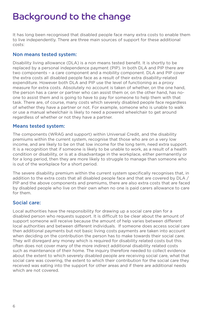### Background to the change

It has long been recognised that disabled people face many extra costs to enable them to live independently. There are three main sources of support for these additional costs:

#### Non means tested system:

Disability living allowance (DLA) is a non means tested benefit. It is shortly to be replaced by a personal independence payment (PIP). In both DLA and PIP there are two components – a care component and a mobility component. DLA and PIP cover the extra costs all disabled people face as a result of their extra disability-related expenditure. However both DLA and PIP use the level of functioning as a proxy measure for extra costs. Absolutely no account is taken of whether, on the one hand, the person has a carer or partner who can assist them or, on the other hand, has noone to assist them and is going to have to pay for someone to help them with that task. There are, of course, many costs which severely disabled people face regardless of whether they have a partner or not. For example, someone who is unable to walk or use a manual wheelchair is likely to need a powered wheelchair to get around regardless of whether or not they have a partner.

#### Means tested system:

The components (WRAG and support) within Universal Credit, and the disability premiums within the current system, recognise that those who are on a very low income, and are likely to be on that low income for the long term, need extra support. It is a recognition that if someone is likely to be unable to work, as a result of a health condition or disability, or is at a disadvantage in the workplace, either permanently or for a long period, then they are more likely to struggle to manage than someone who is out of the workplace for a short period.

The severe disability premium within the current system specifically recognises that, in addition to the extra costs that all disabled people face and that are covered by DLA / PIP and the above components and premiums, there are also extra costs that are faced by disabled people who live on their own when no one is paid carers allowance to care for them.

#### Social care:

Local authorities have the responsibility for drawing up a social care plan for a disabled person who requests support. It is difficult to be clear about the amount of support someone will receive because the amount of help varies between different local authorities and between different individuals. If someone does access social care then additional payments but not basic living costs payments are taken into account when deciding on the contribution the person has to make towards their social care. They will disregard any money which is required for disability related costs but this often does not cover many of the more indirect additional disability related costs such as maintenance of their home. The inquiry therefore needed to collect evidence about the extent to which severely disabled people are receiving social care, what that social care was covering, the extent to which their contribution for the social care they received was eating into the support for other areas and if there are additional needs which are not covered.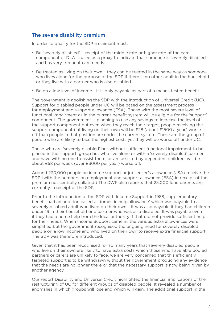#### The severe disability premium

In order to qualify for the SDP a claimant must:

- Be 'severely disabled' receipt of the middle rate or higher rate of the care component of DLA is used as a proxy to indicate that someone is severely disabled and has very frequent care needs.
- Be treated as living on their own they can be treated in the same way as someone who lives alone for the purpose of the SDP if there is no other adult in the household or they live with a partner who is also disabled.
- Be on a low level of income It is only payable as part of a means tested benefit.

The government is abolishing the SDP with the introduction of Universal Credit (UC). Support for disabled people under UC will be based on the assessment process for employment and support allowance (ESA). Those with the most severe level of functional impairment as in the current benefit system will be eligible for the 'support' component. The government is planning to use any savings to increase the level of the support component but even when they reach their target, people receiving the support component but living on their own will be £28 (about £1500 a year) worse off than people in that position are under the current system. These are the group of people who are likely to face the highest costs yet they will be worse off under UC.

Those who are 'severely disabled' but without sufficient functional impairment to be placed in the 'support' group but who live alone or with a 'severely disabled' partner and have with no one to assist them, or are assisted by dependent children, will be about £58 per week (over £3000 per year) worse off.

Around 230,000 people on income support or jobseeker's allowance (JSA) receive the SDP (with the numbers on employment and support allowance (ESA) in receipt of the premium not centrally collated.) The DWP also reports that 25,000 lone parents are currently in receipt of the SDP.

Prior to the introduction of the SDP with Income Support in 1988, supplementary benefit had an addition called a 'domestic help allowance' which was payable to a severely disabled adult who lived on their own – it was also payable if they had children under 16 in their household or a partner who was also disabled. It was payable even if they had a home help from the local authority if that did not provide sufficient help for their needs. When Income Support came in, the various extra allowances were simplified but the government recognised the ongoing need for severely disabled people on a low income and who lived on their own to receive extra financial support. The SDP was therefore introduced.

Given that it has been recognised for so many years that severely disabled people who live on their own are likely to have extra costs which those who have able bodied partners or carers are unlikely to face, we are very concerned that this efficiently targeted support is to be withdrawn without the government producing any evidence that the needs are no longer there or that the necessary support is now being given by another agency.

Our report Disability and Universal Credit highlighted the financial implications of the restructuring of UC for different groups of disabled people. It revealed a number of anomalies in which groups will lose and which will gain. The additional support in the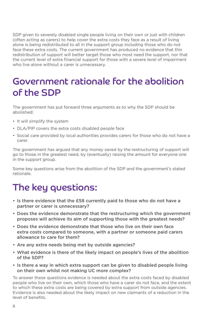SDP given to severely disabled single people living on their own or just with children (often acting as carers) to help cover the extra costs they face as a result of living alone is being redistributed to all in the support group including those who do not face these extra costs. The current government has produced no evidence that this redistribution of support will better target those who most need the support, nor that the current level of extra financial support for those with a severe level of impairment who live alone without a carer is unnecessary.

### Government rationale for the abolition of the SDP

The government has put forward three arguments as to why the SDP should be abolished:

- It will simplify the system
- DLA/PIP covers the extra costs disabled people face
- Social care provided by local authorities provides carers for those who do not have a carer.

The government has argued that any money saved by the restructuring of support will go to those in the greatest need, by (eventually) raising the amount for everyone one in the support group.

Some key questions arise from the abolition of the SDP and the government's stated rationale.

### The key questions:

- Is there evidence that the £58 currently paid to those who do not have a partner or carer is unnecessary?
- Does the evidence demonstrate that the restructuring which the government proposes will achieve its aim of supporting those with the greatest needs?
- • Does the evidence demonstrate that those who live on their own face extra costs compared to someone, with a partner or someone paid carers allowance to care for them?
- Are any extra needs being met by outside agencies?
- What evidence is there of the likely impact on people's lives of the abolition of the SDP?
- Is there a way in which extra support can be given to disabled people living on their own whilst not making UC more complex?

To answer these questions evidence is needed about the extra costs faced by disabled people who live on their own, which those who have a carer do not face, and the extent to which these extra costs are being covered by extra support from outside agencies. Evidence is also needed about the likely impact on new claimants of a reduction in the level of benefits.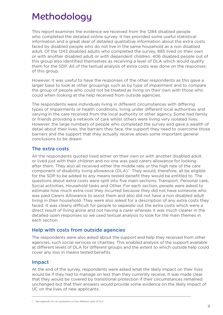### Methodology

This report examines the evidence we received from the 1284 disabled people who completed the detailed online survey. It has provided some useful statistical information and a great deal of detailed qualitative information about the extra costs faced by disabled people who do not live in the same household as a non disabled adult. Of the 1243 disabled adults who completed the survey, 885 lived on their own or with another disabled adult or with dependent children. 406 disabled people out of this group also identified themselves as receiving a level of DLA which would qualify them for the SDP. All of the textual analysis of extra costs was done on the responses of this group.

However, it was useful to have the responses of the other respondents as this gave a larger base to look at other groupings such as by type of impairment and to compare the group of people who could not be treated as living on their own with those who could when looking at the help received from outside agencies.

The respondents were individuals living in different circumstances with differing types of impairments or health conditions, living under different local authorities and varying in the care received from the local authority or other agency. Some had family or friends providing a network of care whilst others were living very isolated lives. However, the large numbers of people who completed the survey and gave a wealth of detail about their lives, the barriers they face, the support they need to overcome those barriers and the support that they actually receive allows some important general conclusions to be drawn.

#### The extra costs

All the respondents quoted lived either on their own or with another disabled adult or lived just with their children and no-one was paid carers allowance for looking after them. They also all received either the middle rate or the high rate of the care component of disability living allowance (DLA).<sup>1</sup> They would, therefore, all be eligible for the SDP to be added to any means tested benefit they would be entitled to. The questions about extra costs were split into five main sections: Transport, Personal care, Social activities, Household tasks and Other. For each section, people were asked to estimate how much extra cost they incurred because they did not have someone who was paid Carers Allowance to assist them and also did not have a non disabled adult living in their household. They were also asked for a description of any extra costs they faced. It was clearly difficult for people to separate out the extra costs which were a direct result of living alone and not having a carer whereas it was much clearer in the detailed open responses so we used textual analysis to look for the main themes in each section.

#### Help with costs from outside agencies

The respondents were also asked about the support and help they received from other agencies, such social services or charities. This enabled analysis of the support available at different levels of DLA for different groups and the extent to which outside help could cover any loss in means tested benefits.

#### Impact

At the end of the survey, respondents were asked what the likely impact on their lives would be if they had to manage on less than they currently receive. It was made clear that they would be covered by transitional protection if their circumstances remained unchanged but that their answers would provide some evidence on the likely impact of UC on the lives of new applicants.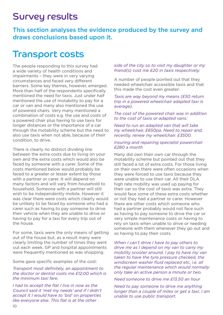### Survey results

This section analyses the evidence produced by the survey and draws conclusions based upon it.

### Transport costs

The people responding to this survey had a wide variety of health conditions and impairments – they were in very varying circumstances and faced very different barriers. Some key themes, however, emerged. More than half of the respondents specifically mentioned the need for taxis. Just under half mentioned the use of motability to pay for a car or van and many also mentioned the use of powered chairs. Very many mentioned a combination of costs e.g. the use and costs of a powered chair plus having to use taxis for longer distances or the importance of a car through the motability scheme but the need to also use taxis when not able, because of their condition, to drive.

There is clearly no distinct dividing line between the extra costs due to living on your own and the extra costs which would also be faced by someone with a carer. Some of the costs mentioned below would probably be faced to a greater or lesser extent by those with a partner or carer. It will depend on many factors and will vary from household to household. Someone with a partner will still wish to be independently mobile. However it was clear there were costs which clearly would be unlikely to be faced by someone who had a carer such as having to pay someone to drive their vehicle when they are unable to drive or having to pay for a taxi for every trip out of the house.

For some, taxis were the only means of getting out of the house but, as a result many were clearly limiting the number of times they went out each week. GP and hospital appointments were frequently mentioned as was shopping.

Some gave specific examples of the cost:

#### *Transport most definitely, an appointment to the doctor or dentist costs me £12.00 which is the minimum taxi fare.*

*I had to accept the flat I live in now as the Council said it 'met my needs' and if I didn't accept it I would have to 'bid' on properties like everyone else. This flat is at the other* 

#### *side of the city so to visit my daughter or my friend(s) cost me £20 in taxis respectively.*

A number of people pointed out that they needed wheelchair accessible taxis and that this made the cost even greater:

#### *Taxis are way beyond my means (£50 return trip in a powered wheelchair adapted taxi is average).*

*The cost of the powered chair was in addition to the cost of taxis or adapted vans:*

*Need to run an adapted van that will take my wheelchair, £650pa. Need to repair and, recently, renew my wheelchair. £3500.* 

#### *Insuring and repairing specialist powerchair £280 a month*

Many did own their own car through the motability scheme but pointed out that they still faced a lot of extra costs. For those living on their own there were often occasions when they were forced to use taxis because they were unable to use their car. All their DLA high rate mobility was used up paying for their car so the cost of taxis was extra. They would face some of these extra costs whether or not they had a partner or carer. However there are other costs which someone who had a partner probably would not face such as having to pay someone to drive the car or very simple maintenance costs or having to rely on taxis when unable to drive or needing someone with them whenever they go out and so having to pay their costs.

*When I can't drive I have to pay others to drive me as I depend on my van to carry my mobility scooter around. I pay to have my van taken to have the tyre pressure checked, the windscreen washer fluid replaced etc, i.e. all the regular maintenance which would normally only take an active person a minute or two.* 

*Need someone to drive me £13.50 an hour*

*Need to pay someone to drive me anything longer than a couple of miles or get a taxi. I am unable to use public transport.*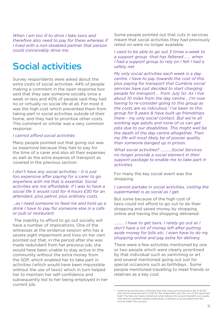*When I am too ill to drive I take taxis and therefore also need to pay for these whereas if I lived with a non-disabled partner that person could conceivably drive me.*

### Social activities

Survey respondents were asked about the extra costs of social activities. 44% of people making a comment in the open response box said that they saw someone socially once a week or less and 40% of people said they had no or virtually no social life at all. For most it was the high cost which prevented them from taking part in social activities outside of their home, and they had to prioritise other costs. This comment or similar was a very common response:

#### *I cannot afford social activities*

Many people pointed out that going out was so expensive because they had to pay for the time of a carer and also all their expenses as well as the extra expense of transport as covered in the previous section:

*I don't have any social activities - it is just too expensive after paying for a carer to go anywhere with me that is essential. Social activities are not affordable. If I was to have a social life it would cost for 4 hours £30 for an attendant, plus petrol, plus ordinary costs.* 

#### *…as I need someone to feed me and hold up a drink I have to pay for someone else in a cafe or pub or restaurant.*

The inability to afford to go out socially will have a number of implications. One of the witnesses at the evidence session who has a severe sight impairment and lives on her own pointed out that, in the period after she was made redundant from her previous job, she would have been unable to stay active in the community without the extra money from the SDP, which enabled her to take part in activities (which would have been impossible without the use of taxis) which in turn helped her to maintain her self-confidence and subsequently led to her being employed in her current job.

Some people pointed out that cuts in services meant that social activities they had previously relied on were no longer available:

*I used to be able to go out 3 times a week to a support group -that has faltered …... when I had a support group to rely on I felt I had a safety net*

*My only social activities each week is a day centre. I have to pay towards the cost of this plus paying for transport that Cumbria social services have just decided to start charging people for transport…. from July 1st. As I live about 10 miles from the day centre …I'm now having to re-consider going to this group as the costs are so ridiculous.1 I've been to this group for 9 years & have built up friendships there - my only social contact. But we're all working age adults and none of us can get jobs due to our disabilities. This might well be the death of the day centre altogether. Then my life will most likely be of poorer quality than someone banged up in prison.* 

*What social activities? ………..Social Services no longer provide a social element in their support package to enable me to take part in activities.*

For many the key social event was the shopping

#### *I cannot partake in social activities, visiting the supermarket is as social as I get.*

But some because of the high cost of taxis could not afford to go out to do their shopping and saved money by shopping online and having the shopping delivered:

#### *………. I have to get taxis. I rarely go out as I don't have a lot of money left after putting aside money for bills etc. I even have to do my shopping online and pay extra for delivery.*

There were a few activities mentioned by one or two people which were clearly prioritised by that individual such as swimming or art and several mentioned going out just for special occasions such as birthdays. Some people mentioned travelling to meet friends or relatives as a key cost:

Cumbria Social Services confirmed that they have just introduced a fee of £1.50/ mile which would amount to £30 for this respondent plus the cost of the daycentre itself. The fees are means tested but when talking into account benefits but usually only directly disability related expenditure is allowed to be excluded from the income taken into account.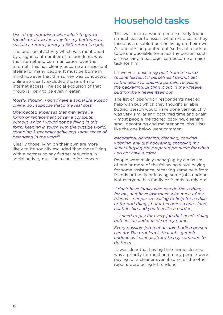#### *Use of my motorised wheelchair to get to friends or, if too far away for my batteries to sustain a return journey a £50 return taxi job.*

The one social activity which was mentioned by a significant number of respondents was the internet and communication over the internet. This has clearly become an important lifeline for many people. It must be borne in mind however that this survey was conducted online so clearly excluded those with no internet access. The social exclusion of that group is likely to be even greater.

#### *Mostly, though, I don't have a social life except online, so I suppose that's the real cost.*

*Unexpected expenses that may arise i.e. fixing or replacement of say a computer…. without which I would not be filling in this form, keeping in touch with the outside world, shopping & generally achieving some sense of belonging in the world!*

Clearly those living on their own are more likely to be socially excluded than those living with a partner so any further reduction in social activity must be a cause for concern.

### Household tasks

This was an area where people clearly found it much easier to assess what extra costs they faced as a disabled person living on their own. As one person pointed out 'so trivial a task as to be unnoticeable for a healthy person' such as 'receiving a package' can become a major task for him:

#### It involves: *collecting post from the shed (postie leaves it if parcels as I cannot get to the door) to opening parcels, recycling the packaging, putting it out in the wheelie, putting the wheelie itself out.*

The list of jobs which respondents needed help with but which they thought an able bodied person would have done very quickly was very similar and occurred time and again – most people mentioned cooking, cleaning, small decorating and maintenance jobs. Lists like the one below were common:

#### *decorating, gardening, cleaning, cooking, washing, any dIY, hoovering, changing my sheets buying pre prepared products for when I do not have a carer.*

People were mainly managing by a mixture of one or more of the following ways: paying for some assistance, receiving some help from friends or family or leaving some jobs undone. Not everyone has family or friends to rely on:

 *I don't have family who can do these things for me, and have lost touch with most of my friends – people are willing to help for a while or for odd things, but it becomes a one-sided relationship and you feel like a burden,* 

*…..I need to pay for every job that needs doing both inside and outside of my home.* 

*Every possible job that an able bodied person can do! The problem is that jobs get left undone as I cannot afford to pay someone to do them.*

 It was clear that having their home cleaned was a priority for most and many people were paying for a cleaner even if some of the other repairs were being left undone: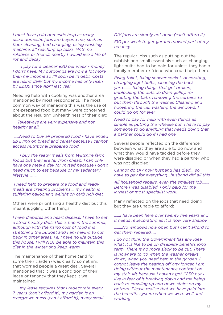*I must have paid domestic help as many usual domestic jobs are beyond me, such as floor cleaning, bed changing, using washing machine, all reaching up tasks. With no relatives or friends nearby I would live a life of rot and decay*

*……. I pay for a cleaner £30 per week - money I don't have. My outgoings are now a lot more than my income so I'll soon be in debt. Costs are rising daily but my income has only risen by £2.05 since April last year.* 

Needing help with cooking was another area mentioned by most respondents. The most common way of managing this was the use of pre-prepared food but many were concerned about the resulting unhealthiness of their diet:

*…..Takeaways are very expensive and not healthy at all.*

 *…..Need to buy all prepared food - have ended up living on bread and cereal because I cannot access nutritional prepared food*

*…….I buy the ready meals from Wiltshire farm foods but they are far from cheap. I can only have one meal a day for myself because I don't need much to eat because of my sedentary lifestyle ……..*

 *I need help to prepare the food and ready meals are creating problems…..my health is suffering ballooning weight on carb rich diet*

Others were prioritising a healthy diet but this meant juggling other things:

*I have diabetes and heart disease. I have to eat a strict healthy diet. This is fine in the summer, although with the rising cost of food it is stretching the budget and I am having to cut back in other areas, i.e. I have no life outside this house. I will NOT be able to maintain this diet in the winter and keep warm.*

The maintenance of their home (and for some their garden) was clearly something that worried people a great deal. Several mentioned that it was a condition of their lease or tenancy that they kept it well maintained.

*…….my lease requires that I redecorate every 7 years (can't afford it), my garden is an overgrown mess (can't afford it), many small* 

#### *DIY jobs are simply not done (can't afford it). £10 per week to get garden mowed part of my tenancy……*

The regular jobs such as putting out the rubbish and small essentials such as changing light bulbs had to be paid for unless they had a family member or friend who could help them:

*fixing toilet, fixing shower socket, decorating, changing light bulbs, cleaning the back yard…….. fixing things that get broken, unblocking the outside drain gulley, regrouting the bath, removing the curtains to put them through the washer. Cleaning and hoovering the car, washing the windows, I could go on for ever* 

*Need to pay for help with even things as simple as putting the wheelie out. I have to pay someone to do anything that needs doing that a partner could do if I had one*

Several people reflected on the difference between what they are able to do now and what they would have tackled before they were disabled or when they had a partner who was not disabled:

*Cannot do DIY now husband has died... so have to pay for everything…husband did all this*

*All household repairs, even the smallest job……. Before I was disabled, I only paid for the largest or most specialist work.*

Many reflected on the jobs that need doing but they are unable to afford:

*……I have been here over twenty five years and it needs redecorating as it is now very shabby,*

*……..No windows now open but I can't afford to get them repaired…..*

*I do not think the Government has any idea what it is like to be on disability benefits long term. There is no more slack to be cut. There is nowhere to go when the washer breaks down, when you need help in the garden, I cannot leave the heating off any longer. I am doing without the maintenance contract on my stair-lift because I haven't got £250 but I live in fear of it breaking down and me being back to crawling up and down stairs on my bottom. Please realise that we have paid into the benefits system when we were well and working. ……*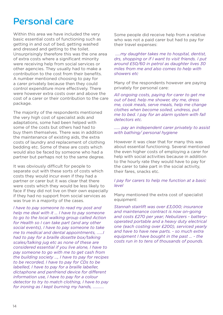### Personal care

Within this area we have included the very basic essential costs of functioning such as getting in and out of bed, getting washed and dressed and getting to the toilet. Unsurprisingly therefore this was the one area of extra costs where a significant minority were receiving help from social services or other agencies. They usually had to make a contribution to the cost from their benefits. A number mentioned choosing to pay for a carer privately because then they could control expenditure more effectively. There were however extra costs over and above the cost of a carer or their contribution to the care package.

The majority of the respondents mentioned the very high cost of specialist aids and adaptations, some had been helped with some of the costs but others had had to buy them themselves. There was in addition the maintenance of existing aids, the extra costs of laundry and replacement of clothing bedding etc. Some of these are costs which would also be faced by someone who had a partner but perhaps not to the same degree.

It was obviously difficult for people to separate out with these sorts of costs which costs they would incur even if they had a partner or carer but it was clear that there were costs which they would be less likely to face if they did not live on their own especially if they had no support from social services as was true in a majority of the cases.

*I have to pay someone to read my post and help me deal with it … I have to pay someone to go to the local walking group called Action for Health so I can take part (and any other social events), I have to pay someone to take me to medical and dental appointments, ……I had to pay for a braille dosette box/talking scales/talking jug etc as none of these are considered essential if you live alone, I have to pay someone to go with me to get cash from the building society …, I have to pay for recipes to be recorded, I have to pay for CDs to be labelled, I have to pay for a braille labeller, dictaphone and penfriend device for different information use, I have to pay for a colour detector to try to match clothing, I have to pay for ironing as I kept burning my hands, ………..*

Some people did receive help from a relative who was not a paid carer but had to pay for their travel expenses:

 *…..my daughter takes me to hospital, dentist, drs, shopping or if I want to visit friends. I put around £50/60 in petrol as daughter lives 30 miles from me and also comes to help with showers etc*

Many of the respondents however are paying privately for personal care:

*All ongoing costs, paying for carer to get me out of bed, help me shower, dry me, dress me, cook meals, serve meals, help me change clothes when become soiled, undress, put me to bed. I pay for an alarm system with fall detectors etc.* 

#### *…… pay an independent carer privately to assist with bathing/ personal hygiene*

However it was clear that for many this was about essential functioning. Several mentioned the even higher costs of employing a carer for help with social activities because in addition to the hourly rate they would have to pay for the carer to take part in the social activity, their fares, snacks etc.

#### *I pay for carers to help me function at a basic level*

Many mentioned the extra cost of specialist equipment:

*Stannah stairlift was over £3,000; insurance and maintenance contract is now on-going and costs £270 per year; Nebulizers - batteryoperated portable and a heavy duty electrical one (each costing over £200), serviced yearly and have to have new parts. - so much extra equipment I have bought in the past … - the costs run in to tens of thousands of pounds.*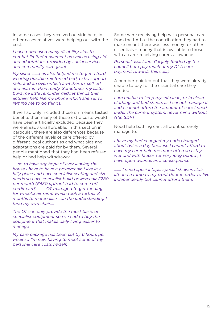In some cases they received outside help, in other cases relatives were helping out with the costs:

*I have purchased many disability aids to combat limited movement as well as using aids and adaptations provided by social services and community care grants*

*My sister …….has also helped me to get a hard wearing durable reinforced bed, extra support rails, and an oven which switches its self off and alarms when ready. Sometimes my sister buys me little reminder gadget things that actually help like my phone which she set to remind me to do things.* 

If we had only included those on means tested benefits then many of these extra costs would have been artificially excluded because they were already unaffordable. In this section in particular, there are also differences because of the different levels of care offered by different local authorities and what aids and adaptations are paid for by them. Several people mentioned that they had been refused help or had help withdrawn:

*…..so to have any hope of ever leaving the house I have to have a powerchair. I live in a hilly place and have specialist seating and size needs so have specialist build powerchair £280 per month (£450 upfront had to come off credit card). …… OT managed to get funding for wheelchair ramp which took a further 8 months to materialise....on the understanding I fund my own chair....* 

*The OT can only provide the most basic of specialist equipment so I've had to buy the equipment that makes daily living easier to manage*

*My care package has been cut by 6 hours per week so I'm now having to meet some of my personal care costs myself.*

Some were receiving help with personal care from the LA but the contribution they had to make meant there was less money for other essentials – money that is available to those with a carer receiving carers allowance

#### *Personal assistants (largely funded by the council but I pay much of my DLA care payment towards this cost)…*

A number pointed out that they were already unable to pay for the essential care they needed:

*I am unable to keep myself clean, or in clean clothing and bed sheets as I cannot manage it and I cannot afford the amount of care I need under the current system, never mind without (the SDP)*

Need help bathing cant afford it so rarely manage to.

*I have my bed changed my pads changed about twice a day because I cannot afford to have my carer help me more often so I stay wet and with faeces for very long period , I have open wounds as a consequence* 

*……. I need special taps, special shower, stair lift and a ramp to my front door in order to live independently but cannot afford them.*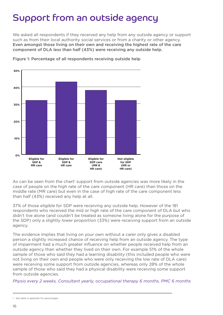### Support from an outside agency

We asked all respondents if they received any help from any outside agency or support such as from their local authority social services or from a charity or other agency. Even amongst those living on their own and receiving the highest rate of the care component of DLA less than half (43%) were receiving any outside help.



Figure 1: Percentage of all respondents receiving outside help

As can be seen from the chart<sup>1</sup> support from outside agencies was more likely in the case of people on the high rate of the care component (HR care) than those on the middle rate (MR care) but even in the case of high rate of the care component less than half (43%) received any help at all.

37% of those eligible for SDP were receiving any outside help. However of the 181 respondents who received the mid or high rate of the care component of DLA but who didn't live alone (and couldn't be treated as someone living alone for the purpose of the SDP) only a slightly lower proportion (33%) were receiving support from an outside agency.

The evidence implies that living on your own without a carer only gives a disabled person a slightly increased chance of receiving help from an outside agency. The type of impairment had a much greater influence on whether people received help from an outside agency than whether they lived on their own. For example 51% of the whole sample of those who said they had a learning disability (this included people who were not living on their own and people who were only receiving the low rate of DLA care) were receiving some support from outside agencies, whereas only 28% of the whole sample of those who said they had a physical disability were receiving some support from outside agencies.

*Physio every 2 weeks, Consultant yearly, occupational therapy 6 months, PMC 6 months*

<sup>1</sup> See table in appendix for percentages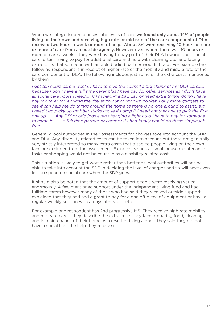When we categorised responses into levels of care we found only about 14% of people living on their own and receiving high rate or mid rate of the care component of DLA received two hours a week or more of help. About 8% were receiving 10 hours of care or more of care from an outside agency. However even where there was 10 hours or more of care a week - they were having to pay part of their DLA towards their social care, often having to pay for additional care and help with cleaning etc and facing extra costs that someone with an able bodied partner wouldn't face. For example the following respondent is in receipt of higher rate of the mobility and middle rate of the care component of DLA. The following includes just some of the extra costs mentioned by them:

*I get ten hours care a weeks I have to give the council a big chunk of my DLA care…… because I don't have a full time carer plus I have pay for other services as I don't have all social care hours I need….. If I'm having a bad day or need extra things doing I have pay my carer for working the day extra out of my own pocket, I buy more gadgets to see if can help me do things around the home as there is no-one around to assist, e.g. I need two picky up grabber sticks cause if I drop it I need another one to pick the first one up…….. Any DIY or odd jobs even changing a light bulb I have to pay for someone to come in ……. a full time partner or carer or if I had family would do these simple jobs free….*

Generally local authorities in their assessments for charges take into account the SDP and DLA. Any disability related costs can be taken into account but these are generally very strictly interpreted so many extra costs that disabled people living on their own face are excluded from the assessment. Extra costs such as small house maintenance tasks or shopping would not be counted as a disability related cost.

This situation is likely to get worse rather than better as local authorities will not be able to take into account the SDP in deciding the level of charges and so will have even less to spend on social care when the SDP goes.

It should also be noted that the amount of support people were receiving varied enormously. A few mentioned support under the independent living fund and had fulltime carers however many of those who had said they received outside support explained that they had had a grant to pay for a one off piece of equipment or have a regular weekly session with a physiotherapist etc.

For example one respondent has 2nd progressive MS. They receive high rate mobility and mid rate care – they describe the extra costs they face preparing food, cleaning and in maintenance of their home as a result of living alone – they said they did not have a social life - the help they receive is: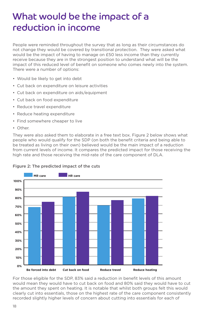### What would be the impact of a reduction in income

People were reminded throughout the survey that as long as their circumstances do not change they would be covered by transitional protection. They were asked what would be the impact of having to manage on £50 less income than they currently receive because they are in the strongest position to understand what will be the impact of this reduced level of benefit on someone who comes newly into the system. There were a number of options:

- Would be likely to get into debt
- Cut back on expenditure on leisure activities
- Cut back on expenditure on aids/equipment
- Cut back on food expenditure
- Reduce travel expenditure
- Reduce heating expenditure
- Find somewhere cheaper to live
- Other.

They were also asked them to elaborate in a free text box. Figure 2 below shows what people who would qualify for the SDP (on both the benefit criteria and being able to be treated as living on their own) believed would be the main impact of a reduction from current levels of income. It compares the predicted impact for those receiving the high rate and those receiving the mid-rate of the care component of DLA.



#### Figure 2: The predicted impact of the cuts

For those eligible for the SDP, 83% said a reduction in benefit levels of this amount would mean they would have to cut back on food and 80% said they would have to cut the amount they spent on heating. It is notable that whilst both groups felt this would clearly cut into essentials, those on the highest rate of the care component consistently recorded slightly higher levels of concern about cutting into essentials for each of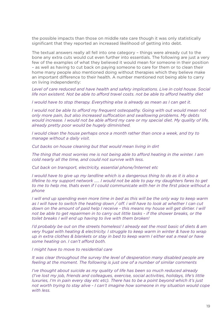the possible impacts than those on middle rate care though it was only statistically significant that they reported an increased likelihood of getting into debt.

The textual answers really all fell into one category – things were already cut to the bone any extra cuts would cut even further into essentials. The following are just a very few of the examples of what they believed it would mean for someone in their position – as well as having to cut back on paying someone to care for them or to clean their home many people also mentioned doing without therapies which they believe make an important difference to their health. A number mentioned not being able to carry on living independently:

*Level of care reduced and have health and safety implications. Live in cold house. Social life non existent. Not be able to afford travel costs. not be able to afford healthy diet* 

*I* would have to stop therapy. Everything else is already as mean as I can get it.

*I would not be able to afford my frequent osteopathy. Going with out would mean not only more pain, but also increased suffocation and swallowing problems. My debts would increase. I would not be able afford my care or my special diet. My quality of life, already pretty poor would be hugely diminished.* 

*I would clean the house perhaps once a month rather than once a week, and try to manage without a daily visit.* 

*Cut backs on house cleaning but that would mean living in dirt* 

*The thing that most worries me is not being able to afford heating in the winter. I am cold nearly all the time, and could not survive with less.*

*Cut back on transport, electricity, essential phone/Internet etc*

*I* would have to give up my landline which is a dangerous thing to do as it is also a *lifeline to my support network ….. I would not be able to pay my daughters fares to get to me to help me, thats even if I could communicate with her in the first place without a phone* 

*I will end up spending even more time in bed as this will be the only way to keep warm as I will have to switch the heating down / off. i will have to look at whether I can cut down on the amount of paid help I receive - this means my house will get dirtier. I will not be able to get repairmen in to carry out little tasks - if the shower breaks, or the toilet breaks I will end up having to live with them broken!*

*I'd probably be out on the streets homeless! I already eat the most basic of diets & am very frugal with heating & electricity. I struggle to keep warm in winter & have to wrap up in extra clothes & blankets or stay in bed to keep warm I either eat a meal or have some heating on. I can't afford both.* 

*I might have to move to residential care* 

*It was clear throughout the survey the level of desperation many disabled people are feeling at the moment. The following is just one of a number of similar comments*

*I've thought about suicide as my quality of life has been so much reduced already (I've lost my job, friends and colleagues, exercise, social activities, holidays, life's little luxuries, I'm in pain every day etc etc). There has to be a point beyond which it's just not worth trying to stay alive - I can't imagine how someone in my situation would cope with less.*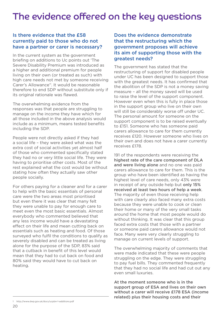### The evidence offered on the key questions

#### Is there evidence that the £58 currently paid to those who do not have a partner or carer is necessary?

In the current system as the government briefing on additions to Uc points out 'The Severe Disability Premium was introduced as a higher and additional premium for people living on their own (or treated as such) with high care needs not met by someone receiving Carer's Allowance'1 . It would be reasonable therefore to end SDP without substitute only if its original rationale was flawed.

The overwhelming evidence from the responses was that people are struggling to manage on the income they have which for all those included in the above analysis would include as a minimum, means tested benefits including the SDP.

People were not directly asked if they had a social life – they were asked what was the extra cost of social activities yet almost half of those who commented specifically stated they had no or very little social life. They were having to prioritise other costs. Most of the rest explained what the cost would be without stating how often they actually saw other people socially.

For others paying for a cleaner and for a carer to help with the basic essentials of personal care were the two areas most prioritised but even there it was clear that many felt they were unable to pay for enough care to meet even the most basic essentials. Almost everybody who commented believed that any less income would have a devastating effect on their life and mean cutting back on essentials such as heating and food. Of those surveyed who fulfil the conditions to qualify as severely disabled and can be treated as living alone for the purpose of the SDP, 83% said that a cutback in benefit of this level would mean that they had to cut back on food and 80% said they would have to cut back on heating.

The government has stated that the restructuring of support for disabled people under UC has been designed to support those with the greatest needs. It has confirmed that the abolition of the SDP is not a money saving measure – all the money saved will be used to raise the level of the support component. However even when this is fully in place those in the support group who live on their own will still be considerably worse off under UC. The personal amount for someone on the support component is to be raised eventually to £151. Someone who has someone paid carers allowance to care for them currently receives £120. However someone who lives on their own and does not have a carer currently receives £178.

191 of the respondents were receiving the highest rate of the care component of DLA and were living alone and no one was paid carers allowance to care for them. This is the group who have been identified as having the highest level of care needs, only 43% were in receipt of any outside help but only 15% received at least two hours of help a week. The majority of even those receiving help with care clearly also faced many extra costs because they were unable to cook or clean their home or many of the very small tasks around the home that most people would do without thinking. It was clear that this group faced extra costs that those with a partner or someone paid carers allowance would not face. Many were very clearly struggling to manage on current levels of support.

The overwhelming majority of comments that were made indicated that these were people struggling on the edge. They were struggling to pay fuel bills. They commented frequently that they had no social life and had cut out any even small luxuries.

At the moment someone who is in the support group of ESA and lives on their own without a carer will receive £178 ESA (income related) plus their housing costs and their

Does the evidence demonstrate that the restructuring which the government proposes will achieve its aim of supporting those with the greatest needs?

<sup>1</sup> http://www.dwp.gov.uk/docs/ucpbn-1-additions.pdf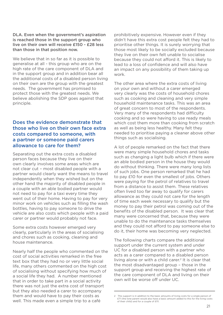#### DLA. Even when the government's aspiration is reached those in the support group who live on their own will receive £150 - £28 less than those in that position now.

We believe that in so far as it is possible to generalise at all - this group who are on the high rate of the care component of DLA and in the support group and in addition bear all the additional costs of a disabled person living on their own are the group with the greatest needs. The government has promised to protect those with the greatest needs. We believe abolishing the SDP goes against that principle.

#### Does the evidence demonstrate that those who live on their own face extra costs compared to someone, with a partner or someone paid carers allowance to care for them?

Separating out the extra costs a disabled person faces because they live on their own clearly involves some areas which are not clear cut – most disabled people with a partner would clearly want the means to travel independently when they wished but on the other hand the majority of disabled people in a couple with an able bodied partner would not need to pay for a taxi every time they went out of their home. Having to pay for very minor work on vehicles such as filling the wash bottles, having to pay someone to drive the vehicle are also costs which people with a paid carer or partner would probably not face.

Some extra costs however emerged very clearly, particularly in the areas of socialising and chores such as cooking, cleaning and house maintenance.

Nearly half the people who commented on the cost of social activities remarked in the free text box that they had no or very little social life, many others commented on the high cost of socialising without specifying how much of a social life they had. A number mentioned that in order to take part in a social activity there was not just the extra cost of transport but they also needed a carer to accompany them and would have to pay their costs as well. This made even a simple trip to a café

prohibitively expensive. However even if they didn't have this extra cost people felt they had to prioritise other things. It is surely worrying that those most likely to be socially excluded because they live on their own felt unable to socialise because they could not afford it. This is likely to lead to a loss of confidence and will also have an impact on any possibility of them taking up work.

The other area where the extra costs of living on your own and without a carer emerged very clearly was the costs of household chores such as cooking and cleaning and very simple household maintenance tasks. This was an area of great concern to most of the respondents. Very many of the respondents had difficulty cooking and so were having to use ready meals which cost them more than cooking from scratch as well as being less healthy. Many felt they needed to prioritise paying a cleaner above other things such as socialising.

A lot of people remarked on the fact that there were many simple household chores and tasks such as changing a light bulb which if there were an able bodied person in the house they would do without thinking. There were many long lists of such jobs. One person remarked that he had to pay £10 for even the smallest of jobs. Others were paying for the petrol of relatives to travel from a distance to assist them. These relatives often lived too far away to qualify for carers allowance as they could not care for the length of time each week necessary to qualify but the money to pay their petrol was coming out of the benefits of the disabled person. It was clear that many were concerned that, because they were unable to do the maintenance tasks themselves and they could not afford to pay someone else to do it, their home was becoming very neglected.

The following charts compare the additional support under the current system and under UC for a disabled person with a partner who acts as a carer compared to a disabled person living alone or with a child carer.<sup>2</sup> It is clear that the most disadvantaged group – those in the support group and receiving the highest rate of the care component of DLA and living on their own will be worse off under UC.

<sup>2</sup> This support is in addition to the basic amounts of living costs for a single person of £71 (the lone parent would also have a basic amount added to this for the living costs of their child) and for a couple of £111.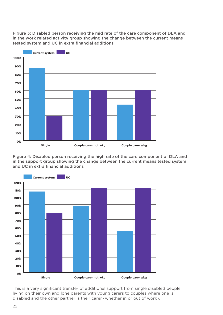Figure 3: Disabled person receiving the mid rate of the care component of DLA and in the work related activity group showing the change between the current means tested system and UC in extra financial additions



Figure 4: Disabled person receiving the high rate of the care component of DLA and in the support group showing the change between the current means tested system and UC in extra financial additions



This is a very significant transfer of additional support from single disabled people living on their own and lone parents with young carers to couples where one is disabled and the other partner is their carer (whether in or out of work).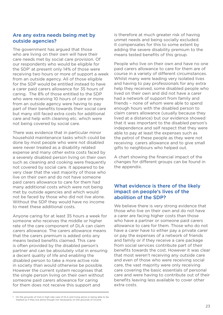#### Are any extra needs being met by outside agencies?

The government has argued that those who are living on their own will have their care needs met by social care provision. Of our respondents who would be eligible for the SDP<sup>1</sup> at present only 14% of those were receiving two hours or more of support a week from an outside agency. All of those eligible for the SDP would be entitled instead to have a carer paid carers allowance for 35 hours of caring. The 8% of those entitled to the SDP who were receiving 10 hours of care or more from an outside agency were having to pay part of their benefits towards their social care but many still faced extra costs for additional care and help with cleaning etc. which were not being covered by social care.

There was evidence that in particular minor household maintenance tasks which could be done by most people who were not disabled were never treated as a disability related expense and many other extra costs faced by a severely disabled person living on their own such as cleaning and cooking were frequently not covered by social care. It appeared to be very clear that the vast majority of those who live on their own and do not have someone paid carers allowance to care for them had many additional costs which were not being met by outside agencies and which would not be faced by those who did not live alone. Without the SDP they would have no income to meet these additional costs.

Anyone caring for at least 35 hours a week for someone who receives the middle or higher rate of the care component of DLA can claim carers allowance. The carers allowance means that the carers premium is added onto any means tested benefits claimed. This care is often provided by the disabled person's partner and can be absolutely vital in ensuring a decent quality of life and enabling the disabled person to take a more active role in society than would otherwise be possible. However the current system recognises that the single person living on their own without someone paid carers allowance for caring for them does not receive this support and

is therefore at much greater risk of having unmet needs and being socially excluded. It compensates for this to some extent by adding the severe disability premium to the means tested benefits of this group.

People who live on their own and have no one paid carers allowance to care for them are of course in a variety of different circumstances. Whilst many were leading very isolated lives and having to pay professionals for any extra help they received, some disabled people who lived on their own and did not have a carer had a network of support from family and friends – none of whom were able to spend enough hours with the disabled person to claim carers allowance (usually because they lived at a distance) but our evidence showed that it was important to the disabled person's independence and self respect that they were able to pay at least the expenses such as the petrol of these people as they were not receiving carers allowance and to give small gifts to neighbours who helped out.

A chart showing the financial impact of the changes for different groups can be found in the appendix.

#### What evidence is there of the likely impact on people's lives of the abolition of the SDP?

We believe there is very strong evidence that those who live on their own and do not have a carer are facing higher costs than those who have a partner or someone paid carers allowance to care for them. Those who do not have a carer have to either pay a private carer or pay the expenses of a network of friends and family or if they receive a care package from social services contribute part of their benefits towards the cost. However it was clear that most weren't receiving any outside care and even of those who were receiving social care, the vast majority were only receiving care covering the basic essentials of personal care and were having to contribute out of their benefits leaving less available to cover other extra costs.

<sup>1</sup> On the grounds of mid or high rate care of DLA and living alone or being able to be treated as if they live alone though not necessarily on the grounds of income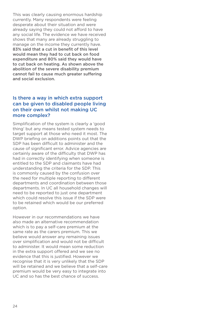This was clearly causing enormous hardship currently. Many respondents were feeling desperate about their situation and were already saying they could not afford to have any social life. The evidence we have received shows that many are already struggling to manage on the income they currently have. 83% said that a cut in benefit of this level would mean they had to cut back on food expenditure and 80% said they would have to cut back on heating. As shown above the abolition of the severe disability premium cannot fail to cause much greater suffering and social exclusion.

#### Is there a way in which extra support can be given to disabled people living on their own whilst not making UC more complex?

Simplification of the system is clearly a 'good thing' but any means tested system needs to target support at those who need it most. The DWP briefing on additions points out that the SDP has been difficult to administer and the cause of significant error. Advice agencies are certainly aware of the difficulty that DWP has had in correctly identifying when someone is entitled to the SDP and claimants have had understanding the criteria for the SDP. This is commonly caused by the confusion over the need for multiple reporting to different departments and coordination between those departments. In UC all household changes will need to be reported to just one department which could resolve this issue if the SDP were to be retained which would be our preferred option.

However in our recommendations we have also made an alternative recommendation which is to pay a self-care premium at the same rate as the carers premium. This we believe would answer any remaining issues over simplification and would not be difficult to administer. It would mean some reduction in the extra support offered and we see no evidence that this is justified. However we recognise that it is very unlikely that the SDP will be retained and we believe that a self-care premium would be very easy to integrate into UC and so has the best chance of success.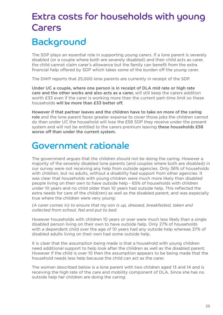## Extra costs for households with young Carers

### **Background**

The SDP plays an essential role in supporting young carers. If a lone parent is severely disabled (or a couple where both are severely disabled) and their child acts as carer, the child cannot claim carer's allowance but the family can benefit from the extra financial help offered by SDP which takes some of the burden off the young carer.

The DWP reports that 25,000 lone parents are currently in receipt of the SDP.

Under UC a couple, where one person is in receipt of DLA mid rate or high rate care and the other works and also acts as a carer, will still keep the carers addition worth £33 even if the carer is working more than the current part-time limit so these households will be more than £33 better off.

However if that partner leaves and the children have to take on more of the caring role and the lone parent faces greater expense to cover those jobs the children cannot do then under UC the household will lose the £58 SDP they receive under the present system and will not be entitled to the carers premium leaving these households £58 worse off than under the current system.

### Government rationale

The government argues that the children should not be doing the caring. However a majority of the severely disabled lone parents (and couples where both are disabled) in our survey were not receiving any help from outside agencies. Only 36% of households with children, but no adults, without a disability had support from other agencies. It was clear that households with young children were much more likely than disabled people living on their own to have outside help - 65% of households with children under 10 years and no child older than 10 years had outside help. This reflected the extra needs for care of the child(ren) as well as the disabled parent, and was especially true where the children were very young:

*(A carer comes in) to ensure that my son is up, dressed, breakfasted, taken and collected from school, fed and put to bed.*

However households with children 10 years or over were much less likely than a single disabled person living on their own to have outside help. Only 27% of households with a dependent child over the age of 10 years had any outside help whereas 37% of disabled adults living on their own had some outside help.

It is clear that the assumption being made is that a household with young children need additional support to help look after the children as well as the disabled parent. However if the child is over 10 then the assumption appears to be being made that the household needs less help because the child can act as the carer.

The woman described below is a lone parent with two children aged 13 and 14 and is receiving the high rate of the care and mobility component of DLA. Since she has no outside help her children are doing the caring: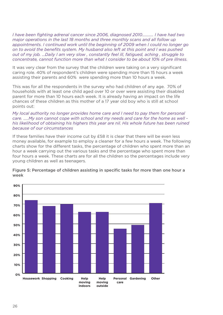*I have been fighting adrenal cancer since 2006, diagnosed 2010……….. I have had two major operations in the last 18 months and three monthly scans and all follow up appointments. I continued work until the beginning of 2009 when I could no longer go on to avoid the benefits system. My husband also left at this point and I was pushed out of my job. …Daily I am very slow , constantly feel ill, fatigued, aching , struggle to concentrate, cannot function more than what I consider to be about 10% of pre illness.*

It was very clear from the survey that the children were taking on a very significant caring role. 40% of respondent's children were spending more than 15 hours a week assisting their parents and 60% were spending more than 10 hours a week.

This was for all the respondents in the survey who had children of any age. 70% of households with at least one child aged over 10 or over were assisting their disabled parent for more than 10 hours each week. It is already having an impact on the life chances of these children as this mother of a 17 year old boy who is still at school points out:

#### *My local authority no longer provides home care and I need to pay them for personal care. …..My son cannot cope with school and my needs and care for the home as well his likelihood of obtaining his highers this year are nil. His whole future has been ruined because of our circumstances*

If these families have their income cut by £58 it is clear that there will be even less money available, for example to employ a cleaner for a few hours a week. The following charts show for the different tasks, the percentage of children who spent more than an hour a week carrying out the various tasks and the percentage who spent more than four hours a week. These charts are for all the children so the percentages include very young children as well as teenagers.



#### Figure 5: Percentage of children assisting in specific tasks for more than one hour a week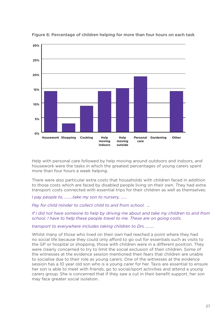

Figure 6: Percentage of children helping for more than four hours on each task

Help with personal care followed by help moving around outdoors and indoors, and housework were the tasks in which the greatest percentages of young carers spent more than four hours a week helping.

There were also particular extra costs that households with children faced in addition to those costs which are faced by disabled people living on their own. They had extra transport costs connected with essential trips for their children as well as themselves:

*I pay people to, ……..take my son to nursery, ……* 

*Pay for child minder to collect child to and from school. …*

*if I did not have someone to help by driving me about and take my children to and from school. I have to help these people travel to me. These are on going costs.* 

*transport to everywhere includes taking children to Drs ………*

Whilst many of those who lived on their own had reached a point where they had no social life because they could only afford to go out for essentials such as visits to the GP or hospital or shopping, those with children were in a different position. They were clearly concerned to try to limit the social exclusion of their children. Some of the witnesses at the evidence session mentioned their fears that children are unable to socialise due to their role as young carers. One of the witnesses at the evidence session has a 10 year old son who is a young carer for her. Taxis are essential to ensure her son is able to meet with friends, go to social/sport activities and attend a young carers group. She is concerned that if they saw a cut in their benefit support, her son may face greater social isolation.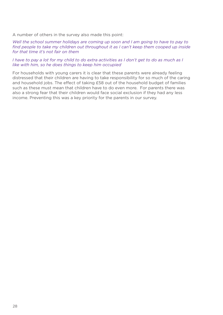A number of others in the survey also made this point:

*Well the school summer holidays are coming up soon and I am going to have to pay to find people to take my children out throughout it as I can't keep them cooped up inside for that time it's not fair on them* 

#### *I have to pay a lot for my child to do extra activities as I don't get to do as much as I like with him, so he does things to keep him occupied*

For households with young carers it is clear that these parents were already feeling distressed that their children are having to take responsibility for so much of the caring and household jobs. The effect of taking £58 out of the household budget of families such as these must mean that children have to do even more. For parents there was also a strong fear that their children would face social exclusion if they had any less income. Preventing this was a key priority for the parents in our survey.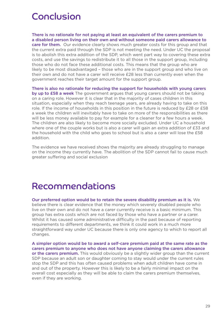### Conclusion

There is no rationale for not paying at least an equivalent of the carers premium to a disabled person living on their own and without someone paid carers allowance to care for them. Our evidence clearly shows much greater costs for this group and that the current extra paid through the SDP is not meeting the need. Under UC the proposal is to abolish this extra addition of the SDP, which went part way to covering these extra costs, and use the savings to redistribute it to all those in the support group, including those who do not face these additional costs. This means that the group who are likely to be most disadvantaged – those who are in the support group and who live on their own and do not have a carer will receive £28 less than currently even when the government reaches their target amount for the support group.

There is also no rationale for reducing the support for households with young carers by up to £58 a week The government argues that young carers should not be taking on a caring role. However it is clear that in the majority of cases children in this situation, especially when they reach teenage years, are already having to take on this role. If the income of households in this position in the future is reduced by £28 or £58 a week the children will inevitably have to take on more of the responsibilities as there will be less money available to pay for example for a cleaner for a few hours a week. The children are also likely to become more socially excluded. Under UC a household where one of the couple works but is also a carer will gain an extra addition of £33 and the household with the child who goes to school but is also a carer will lose the £58 addition.

The evidence we have received shows the majority are already struggling to manage on the income they currently have. The abolition of the SDP cannot fail to cause much greater suffering and social exclusion

### Recommendations

Our preferred option would be to retain the severe disability premium as it is. We believe there is clear evidence that the money which severely disabled people who live on their own and do not have a carer currently receive is a basic minimum. This group has extra costs which are not faced by those who have a partner or a carer. Whilst it has caused some administrative difficulty in the past because of reporting requirements to different departments, we think it could work in a much more straightforward way under UC because there is only one agency to which to report all changes.

A simpler option would be to award a self-care premium paid at the same rate as the carers premium to anyone who does not have anyone claiming the carers allowance or the carers premium. This would obviously be a slightly wider group than the current SDP because an adult son or daughter coming to stay would under the current rules stop the SDP and this has often caused problems when adult children have come in and out of the property. However this is likely to be a fairly minimal impact on the overall cost especially as they will be able to claim the carers premium themselves, even if they are working.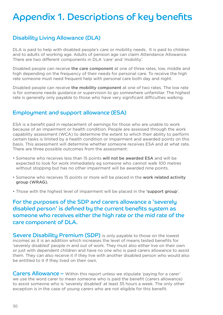### Appendix 1. Descriptions of key benefits

### Disability Living Allowance (DLA)

DLA is paid to help with disabled people's care or mobility needs. It is paid to children and to adults of working age. Adults of pension age can claim Attendance Allowance. There are two different components in DLA 'care' and 'mobility'.

Disabled people can receive the care component at one of three rates, low, middle and high depending on the frequency of their needs for personal care. To receive the high rate someone must need frequent help with personal care both day and night.

Disabled people can receive the mobility component at one of two rates. The low rate is for someone needs guidance or supervision to go somewhere unfamiliar. The highest rate is generally only payable to those who have very significant difficulties walking.

#### Employment and support allowance (ESA)

ESA is a benefit paid in replacement of earnings for those who are unable to work because of an impairment or health condition. People are assessed through the work capability assessment (WCA) to determine the extent to which their ability to perform certain tasks is limited by a health condition or impairment and awarded points on this basis. This assessment will determine whether someone receives ESA and at what rate. There are three possible outcomes from the assessment:

- Someone who receives less than 15 points will not be awarded ESA and will be expected to look for work immediately eg someone who cannot walk 100 metres without stopping but has no other impairment will be awarded nine points.
- Someone who receives 15 points or more will be placed in the work related activity group (WRAG).
- Those with the highest level of impairment will be placed in the 'support group'.

For the purposes of the SDP and carers allowance a 'severely disabled person' is defined by the current benefits system as someone who receives either the high rate or the mid rate of the care component of DLA.

**Severe Disability Premium (SDP)** is only payable to those on the lowest incomes as it is an addition which increases the level of means tested benefits for 'severely disabled' people in and out of work. They must also either live on their own or just with dependent children and have no one who is paid carers allowance to assist them. They can also receive it if they live with another disabled person who would also be entitled to it if they lived on their own.

Carers Allowance - Within this report unless we stipulate 'paying for a carer' we use the word carer to mean someone who is paid the benefit (carers allowance) to assist someone who is 'severely disabled' at least 35 hours a week. The only other exception is in the case of young carers who are not eligible for this benefit.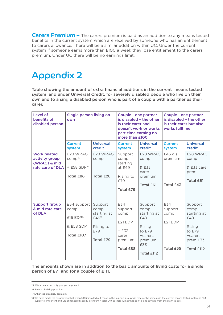Carers Premium - The carers premium is paid as an addition to any means tested benefits in the current system which are received by someone who has an entitlement to carers allowance. There will be a similar addition within UC. Under the current system if someone earns more than £100 a week they lose entitlement to the carers premium. Under UC there will be no earnings limit.

### Appendix 2

Table showing the amount of extra financial additions in the current means tested system and under Universal Credit, for severely disabled people who live on their own and to a single disabled person who is part of a couple with a partner as their carer.

| Level of<br>benefits of<br>disabled person                                | Single person living on<br>own                                                |                                                                                      | Couple - one partner<br>is disabled - the other<br>is their carer and<br>doesn't work or works<br>part-time earning no<br>more than £100 |                                                                                                      | Couple - one partner<br>is disabled - the other<br>is their carer but also<br>works fulltime |                                                                                                |
|---------------------------------------------------------------------------|-------------------------------------------------------------------------------|--------------------------------------------------------------------------------------|------------------------------------------------------------------------------------------------------------------------------------------|------------------------------------------------------------------------------------------------------|----------------------------------------------------------------------------------------------|------------------------------------------------------------------------------------------------|
|                                                                           | <b>Current</b><br>system                                                      | <b>Universal</b><br>credit                                                           | <b>Current</b><br>system                                                                                                                 | <b>Universal</b><br>credit                                                                           | <b>Current</b><br>system                                                                     | <b>Universal</b><br>credit                                                                     |
| <b>Work related</b><br>activity group<br>(WRAG) & mid<br>rate care of DLA | £28 WRAG<br>comp <sup>15</sup><br>+ £58 SDP <sup>16</sup><br><b>Total £86</b> | £28 WRAG<br>comp<br><b>Total £28</b>                                                 | Support<br>comp<br>starting<br>at $£49$<br>Rising to<br>£79<br>Total £79                                                                 | £28 WRAG<br>comp<br>& £33<br>carer<br>premium<br><b>Total £61</b>                                    | £43 dis<br>premium<br>Total £43                                                              | £28 WRAG<br>comp<br>& £33 carer<br>prem<br><b>Total £61</b>                                    |
| <b>Support group</b><br>& mid rate care<br>of DLA                         | £34 support<br>comp<br>$£15$ $EDP17$<br>& £58 SDP<br>Total £107               | Support<br>comp<br>starting at<br>£49 <sup>18</sup><br>Rising to<br>£79<br>Total £79 | £34<br>support<br>comp<br>£21 EDP<br>$+£33$<br>carer<br>premium<br><b>Total £88</b>                                                      | Support<br>comp<br>starting at<br>£49<br>Rising<br>to £79<br>+carers<br>premium<br>£33<br>Total £112 | £34<br>support<br>comp<br>£21 EDP<br>Total £55                                               | Support<br>comp<br>starting at<br>£49<br>Rising<br>to £79<br>+carers<br>prem £33<br>Total £112 |

The amounts shown are in addition to the basic amounts of living costs for a single person of £71 and for a couple of £111.

<sup>15</sup> Work related activity group component

<sup>16</sup> Severe disability premium

<sup>17</sup> Enhanced disability premium

<sup>18</sup> We have made the assumption that when UC first rolled out those in the support group will receive the same as in the current means tested system ie £34 support component and £15 enhanced disability premium = total £49 as there will at that point be no savings from the planned cuts